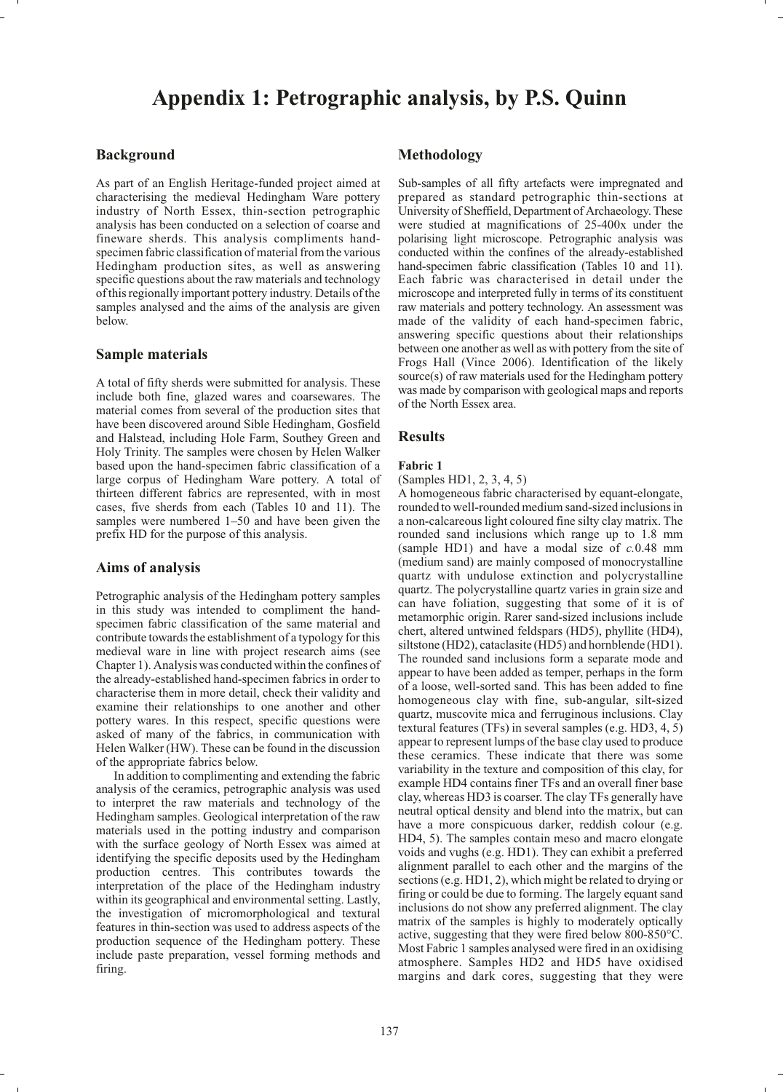# **Appendix 1: Petrographic analysis, by P.S. Quinn**

# **Background**

As part of an English Heritage-funded project aimed at characterising the medieval Hedingham Ware pottery industry of North Essex, thin-section petrographic analysis has been conducted on a selection of coarse and fineware sherds. This analysis compliments handspecimen fabric classification of material from the various Hedingham production sites, as well as answering specific questions about the raw materials and technology of this regionally important pottery industry. Details of the samples analysed and the aims of the analysis are given below.

# **Sample materials**

A total of fifty sherds were submitted for analysis. These include both fine, glazed wares and coarsewares. The material comes from several of the production sites that have been discovered around Sible Hedingham, Gosfield and Halstead, including Hole Farm, Southey Green and Holy Trinity. The samples were chosen by Helen Walker based upon the hand-specimen fabric classification of a large corpus of Hedingham Ware pottery. A total of thirteen different fabrics are represented, with in most cases, five sherds from each (Tables 10 and 11). The samples were numbered 1–50 and have been given the prefix HD for the purpose of this analysis.

# **Aims of analysis**

Petrographic analysis of the Hedingham pottery samples in this study was intended to compliment the handspecimen fabric classification of the same material and contribute towards the establishment of a typology for this medieval ware in line with project research aims (see Chapter 1). Analysis was conducted within the confines of the already-established hand-specimen fabrics in order to characterise them in more detail, check their validity and examine their relationships to one another and other pottery wares. In this respect, specific questions were asked of many of the fabrics, in communication with Helen Walker (HW). These can be found in the discussion of the appropriate fabrics below.

In addition to complimenting and extending the fabric analysis of the ceramics, petrographic analysis was used to interpret the raw materials and technology of the Hedingham samples. Geological interpretation of the raw materials used in the potting industry and comparison with the surface geology of North Essex was aimed at identifying the specific deposits used by the Hedingham production centres. This contributes towards the interpretation of the place of the Hedingham industry within its geographical and environmental setting. Lastly, the investigation of micromorphological and textural features in thin-section was used to address aspects of the production sequence of the Hedingham pottery. These include paste preparation, vessel forming methods and firing.

# **Methodology**

Sub-samples of all fifty artefacts were impregnated and prepared as standard petrographic thin-sections at University of Sheffield, Department of Archaeology. These were studied at magnifications of 25-400x under the polarising light microscope. Petrographic analysis was conducted within the confines of the already-established hand-specimen fabric classification (Tables 10 and 11). Each fabric was characterised in detail under the microscope and interpreted fully in terms of its constituent raw materials and pottery technology. An assessment was made of the validity of each hand-specimen fabric, answering specific questions about their relationships between one another as well as with pottery from the site of Frogs Hall (Vince 2006). Identification of the likely source(s) of raw materials used for the Hedingham pottery was made by comparison with geological maps and reports of the North Essex area.

# **Results**

## **Fabric 1**

(Samples HD1, 2, 3, 4, 5)

A homogeneous fabric characterised by equant-elongate, rounded to well-rounded medium sand-sized inclusions in a non-calcareous light coloured fine silty clay matrix. The rounded sand inclusions which range up to 1.8 mm (sample HD1) and have a modal size of *c.*0.48 mm (medium sand) are mainly composed of monocrystalline quartz with undulose extinction and polycrystalline quartz. The polycrystalline quartz varies in grain size and can have foliation, suggesting that some of it is of metamorphic origin. Rarer sand-sized inclusions include chert, altered untwined feldspars (HD5), phyllite (HD4), siltstone (HD2), cataclasite (HD5) and hornblende (HD1). The rounded sand inclusions form a separate mode and appear to have been added as temper, perhaps in the form of a loose, well-sorted sand. This has been added to fine homogeneous clay with fine, sub-angular, silt-sized quartz, muscovite mica and ferruginous inclusions. Clay textural features (TFs) in several samples (e.g. HD3, 4, 5) appear to represent lumps of the base clay used to produce these ceramics. These indicate that there was some variability in the texture and composition of this clay, for example HD4 contains finer TFs and an overall finer base clay, whereas HD3 is coarser. The clay TFs generally have neutral optical density and blend into the matrix, but can have a more conspicuous darker, reddish colour (e.g. HD4, 5). The samples contain meso and macro elongate voids and vughs (e.g. HD1). They can exhibit a preferred alignment parallel to each other and the margins of the sections (e.g. HD1, 2), which might be related to drying or firing or could be due to forming. The largely equant sand inclusions do not show any preferred alignment. The clay matrix of the samples is highly to moderately optically active, suggesting that they were fired below 800-850°C. Most Fabric 1 samples analysed were fired in an oxidising atmosphere. Samples HD2 and HD5 have oxidised margins and dark cores, suggesting that they were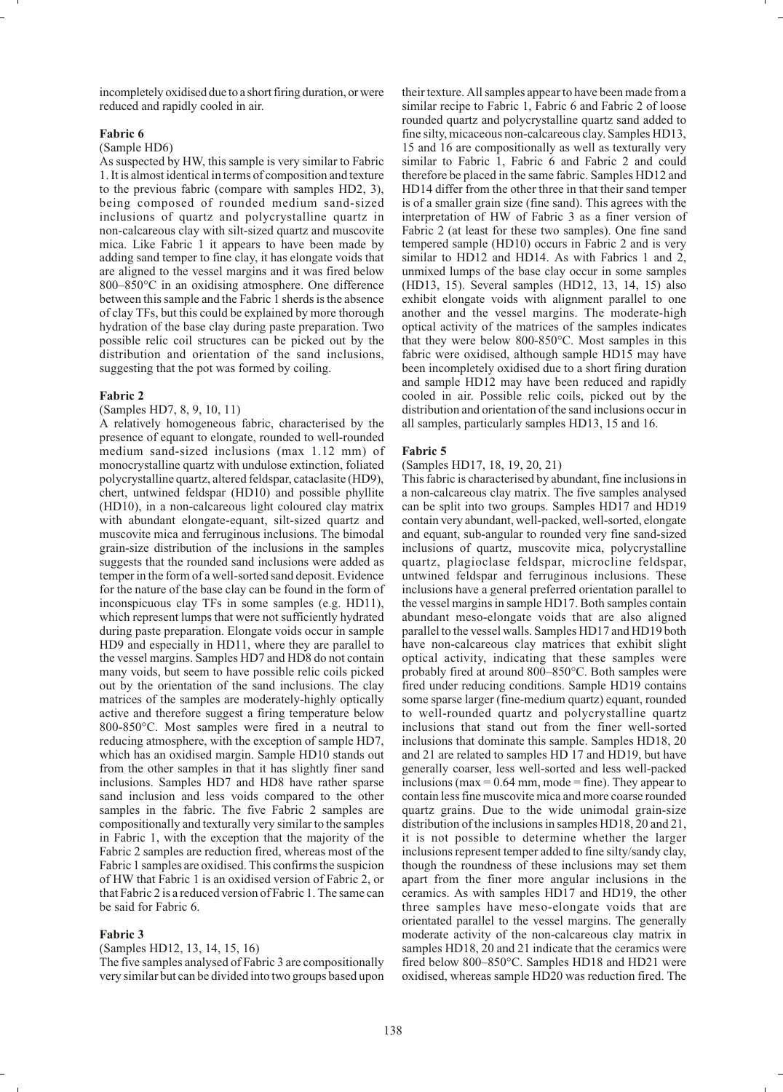incompletely oxidised due to a short firing duration, or were reduced and rapidly cooled in air.

#### **Fabric 6**

# (Sample HD6)

As suspected by HW, this sample is very similar to Fabric 1. It is almost identical in terms of composition and texture to the previous fabric (compare with samples HD2, 3), being composed of rounded medium sand-sized inclusions of quartz and polycrystalline quartz in non-calcareous clay with silt-sized quartz and muscovite mica. Like Fabric 1 it appears to have been made by adding sand temper to fine clay, it has elongate voids that are aligned to the vessel margins and it was fired below 800–850°C in an oxidising atmosphere. One difference between this sample and the Fabric 1 sherds is the absence of clay TFs, but this could be explained by more thorough hydration of the base clay during paste preparation. Two possible relic coil structures can be picked out by the distribution and orientation of the sand inclusions, suggesting that the pot was formed by coiling.

#### **Fabric 2**

### (Samples HD7, 8, 9, 10, 11)

A relatively homogeneous fabric, characterised by the presence of equant to elongate, rounded to well-rounded medium sand-sized inclusions (max 1.12 mm) of monocrystalline quartz with undulose extinction, foliated polycrystalline quartz, altered feldspar, cataclasite (HD9), chert, untwined feldspar (HD10) and possible phyllite (HD10), in a non-calcareous light coloured clay matrix with abundant elongate-equant, silt-sized quartz and muscovite mica and ferruginous inclusions. The bimodal grain-size distribution of the inclusions in the samples suggests that the rounded sand inclusions were added as temper in the form of a well-sorted sand deposit. Evidence for the nature of the base clay can be found in the form of inconspicuous clay TFs in some samples (e.g. HD11), which represent lumps that were not sufficiently hydrated during paste preparation. Elongate voids occur in sample HD9 and especially in HD11, where they are parallel to the vessel margins. Samples HD7 and HD8 do not contain many voids, but seem to have possible relic coils picked out by the orientation of the sand inclusions. The clay matrices of the samples are moderately-highly optically active and therefore suggest a firing temperature below 800-850°C. Most samples were fired in a neutral to reducing atmosphere, with the exception of sample HD7, which has an oxidised margin. Sample HD10 stands out from the other samples in that it has slightly finer sand inclusions. Samples HD7 and HD8 have rather sparse sand inclusion and less voids compared to the other samples in the fabric. The five Fabric 2 samples are compositionally and texturally very similar to the samples in Fabric 1, with the exception that the majority of the Fabric 2 samples are reduction fired, whereas most of the Fabric 1 samples are oxidised. This confirms the suspicion of HW that Fabric 1 is an oxidised version of Fabric 2, or that Fabric 2 is a reduced version of Fabric 1. The same can be said for Fabric 6.

#### **Fabric 3**

(Samples HD12, 13, 14, 15, 16)

The five samples analysed of Fabric 3 are compositionally very similar but can be divided into two groups based upon

their texture. All samples appear to have been made from a similar recipe to Fabric 1, Fabric 6 and Fabric 2 of loose rounded quartz and polycrystalline quartz sand added to fine silty, micaceous non-calcareous clay. Samples HD13, 15 and 16 are compositionally as well as texturally very similar to Fabric 1, Fabric 6 and Fabric 2 and could therefore be placed in the same fabric. Samples HD12 and HD14 differ from the other three in that their sand temper is of a smaller grain size (fine sand). This agrees with the interpretation of HW of Fabric 3 as a finer version of Fabric 2 (at least for these two samples). One fine sand tempered sample (HD10) occurs in Fabric 2 and is very similar to HD12 and HD14. As with Fabrics 1 and 2, unmixed lumps of the base clay occur in some samples (HD13, 15). Several samples (HD12, 13, 14, 15) also exhibit elongate voids with alignment parallel to one another and the vessel margins. The moderate-high optical activity of the matrices of the samples indicates that they were below 800-850°C. Most samples in this fabric were oxidised, although sample HD15 may have been incompletely oxidised due to a short firing duration and sample HD12 may have been reduced and rapidly cooled in air. Possible relic coils, picked out by the distribution and orientation of the sand inclusions occur in all samples, particularly samples HD13, 15 and 16.

#### **Fabric 5**

#### (Samples HD17, 18, 19, 20, 21)

This fabric is characterised by abundant, fine inclusions in a non-calcareous clay matrix. The five samples analysed can be split into two groups. Samples HD17 and HD19 contain very abundant, well-packed, well-sorted, elongate and equant, sub-angular to rounded very fine sand-sized inclusions of quartz, muscovite mica, polycrystalline quartz, plagioclase feldspar, microcline feldspar, untwined feldspar and ferruginous inclusions. These inclusions have a general preferred orientation parallel to the vessel margins in sample HD17. Both samples contain abundant meso-elongate voids that are also aligned parallel to the vessel walls. Samples HD17 and HD19 both have non-calcareous clay matrices that exhibit slight optical activity, indicating that these samples were probably fired at around 800–850°C. Both samples were fired under reducing conditions. Sample HD19 contains some sparse larger (fine-medium quartz) equant, rounded to well-rounded quartz and polycrystalline quartz inclusions that stand out from the finer well-sorted inclusions that dominate this sample. Samples HD18, 20 and 21 are related to samples HD 17 and HD19, but have generally coarser, less well-sorted and less well-packed inclusions (max  $= 0.64$  mm, mode  $=$  fine). They appear to contain less fine muscovite mica and more coarse rounded quartz grains. Due to the wide unimodal grain-size distribution of the inclusions in samples HD18, 20 and 21, it is not possible to determine whether the larger inclusions represent temper added to fine silty/sandy clay, though the roundness of these inclusions may set them apart from the finer more angular inclusions in the ceramics. As with samples HD17 and HD19, the other three samples have meso-elongate voids that are orientated parallel to the vessel margins. The generally moderate activity of the non-calcareous clay matrix in samples HD18, 20 and 21 indicate that the ceramics were fired below 800–850°C. Samples HD18 and HD21 were oxidised, whereas sample HD20 was reduction fired. The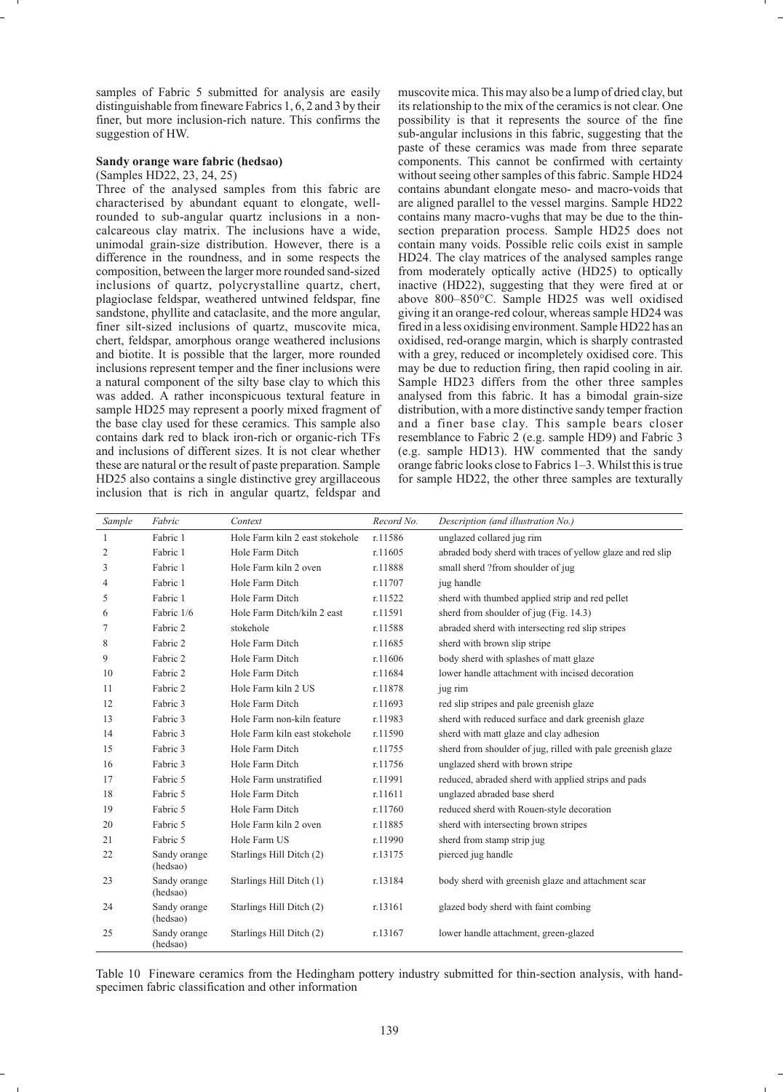samples of Fabric 5 submitted for analysis are easily distinguishable from fineware Fabrics 1, 6, 2 and 3 by their finer, but more inclusion-rich nature. This confirms the suggestion of HW.

## **Sandy orange ware fabric (hedsao)**

# (Samples HD22, 23, 24, 25)

Three of the analysed samples from this fabric are characterised by abundant equant to elongate, wellrounded to sub-angular quartz inclusions in a noncalcareous clay matrix. The inclusions have a wide, unimodal grain-size distribution. However, there is a difference in the roundness, and in some respects the composition, between the larger more rounded sand-sized inclusions of quartz, polycrystalline quartz, chert, plagioclase feldspar, weathered untwined feldspar, fine sandstone, phyllite and cataclasite, and the more angular, finer silt-sized inclusions of quartz, muscovite mica, chert, feldspar, amorphous orange weathered inclusions and biotite. It is possible that the larger, more rounded inclusions represent temper and the finer inclusions were a natural component of the silty base clay to which this was added. A rather inconspicuous textural feature in sample HD25 may represent a poorly mixed fragment of the base clay used for these ceramics. This sample also contains dark red to black iron-rich or organic-rich TFs and inclusions of different sizes. It is not clear whether these are natural or the result of paste preparation. Sample HD25 also contains a single distinctive grey argillaceous inclusion that is rich in angular quartz, feldspar and

muscovite mica. This may also be a lump of dried clay, but its relationship to the mix of the ceramics is not clear. One possibility is that it represents the source of the fine sub-angular inclusions in this fabric, suggesting that the paste of these ceramics was made from three separate components. This cannot be confirmed with certainty without seeing other samples of this fabric. Sample HD24 contains abundant elongate meso- and macro-voids that are aligned parallel to the vessel margins. Sample HD22 contains many macro-vughs that may be due to the thinsection preparation process. Sample HD25 does not contain many voids. Possible relic coils exist in sample HD24. The clay matrices of the analysed samples range from moderately optically active (HD25) to optically inactive (HD22), suggesting that they were fired at or above 800–850°C. Sample HD25 was well oxidised giving it an orange-red colour, whereas sample HD24 was fired in a less oxidising environment. Sample HD22 has an oxidised, red-orange margin, which is sharply contrasted with a grey, reduced or incompletely oxidised core. This may be due to reduction firing, then rapid cooling in air. Sample HD23 differs from the other three samples analysed from this fabric. It has a bimodal grain-size distribution, with a more distinctive sandy temper fraction and a finer base clay. This sample bears closer resemblance to Fabric 2 (e.g. sample HD9) and Fabric 3 (e.g. sample HD13). HW commented that the sandy orange fabric looks close to Fabrics 1–3. Whilst this is true for sample HD22, the other three samples are texturally

| Sample         | Fabric                   | Context                         | Record No. | Description (and illustration No.)                          |
|----------------|--------------------------|---------------------------------|------------|-------------------------------------------------------------|
| 1              | Fabric 1                 | Hole Farm kiln 2 east stokehole | r.11586    | unglazed collared jug rim                                   |
| $\overline{c}$ | Fabric 1                 | Hole Farm Ditch                 | r.11605    | abraded body sherd with traces of yellow glaze and red slip |
| 3              | Fabric 1                 | Hole Farm kiln 2 oven           | r.11888    | small sherd ?from shoulder of jug                           |
| $\overline{4}$ | Fabric 1                 | Hole Farm Ditch                 | r.11707    | jug handle                                                  |
| 5              | Fabric 1                 | Hole Farm Ditch                 | r.11522    | sherd with thumbed applied strip and red pellet             |
| 6              | Fabric 1/6               | Hole Farm Ditch/kiln 2 east     | r.11591    | sherd from shoulder of jug (Fig. 14.3)                      |
| 7              | Fabric 2                 | stokehole                       | r.11588    | abraded sherd with intersecting red slip stripes            |
| 8              | Fabric 2                 | Hole Farm Ditch                 | r.11685    | sherd with brown slip stripe                                |
| 9              | Fabric 2                 | Hole Farm Ditch                 | r.11606    | body sherd with splashes of matt glaze                      |
| 10             | Fabric 2                 | Hole Farm Ditch                 | r.11684    | lower handle attachment with incised decoration             |
| 11             | Fabric 2                 | Hole Farm kiln 2 US             | r.11878    | jug rim                                                     |
| 12             | Fabric 3                 | Hole Farm Ditch                 | r.11693    | red slip stripes and pale greenish glaze                    |
| 13             | Fabric 3                 | Hole Farm non-kiln feature      | r.11983    | sherd with reduced surface and dark greenish glaze          |
| 14             | Fabric 3                 | Hole Farm kiln east stokehole   | r.11590    | sherd with matt glaze and clay adhesion                     |
| 15             | Fabric 3                 | Hole Farm Ditch                 | r.11755    | sherd from shoulder of jug, rilled with pale greenish glaze |
| 16             | Fabric 3                 | Hole Farm Ditch                 | r.11756    | unglazed sherd with brown stripe                            |
| 17             | Fabric 5                 | Hole Farm unstratified          | r.11991    | reduced, abraded sherd with applied strips and pads         |
| 18             | Fabric 5                 | Hole Farm Ditch                 | r.11611    | unglazed abraded base sherd                                 |
| 19             | Fabric 5                 | Hole Farm Ditch                 | r.11760    | reduced sherd with Rouen-style decoration                   |
| 20             | Fabric 5                 | Hole Farm kiln 2 oven           | r.11885    | sherd with intersecting brown stripes                       |
| 21             | Fabric 5                 | Hole Farm US                    | r.11990    | sherd from stamp strip jug                                  |
| 22             | Sandy orange<br>(hedsao) | Starlings Hill Ditch (2)        | r.13175    | pierced jug handle                                          |
| 23             | Sandy orange<br>(hedsao) | Starlings Hill Ditch (1)        | r.13184    | body sherd with greenish glaze and attachment scar          |
| 24             | Sandy orange<br>(hedsao) | Starlings Hill Ditch (2)        | r.13161    | glazed body sherd with faint combing                        |
| 25             | Sandy orange<br>(hedsao) | Starlings Hill Ditch (2)        | r.13167    | lower handle attachment, green-glazed                       |

Table 10 Fineware ceramics from the Hedingham pottery industry submitted for thin-section analysis, with handspecimen fabric classification and other information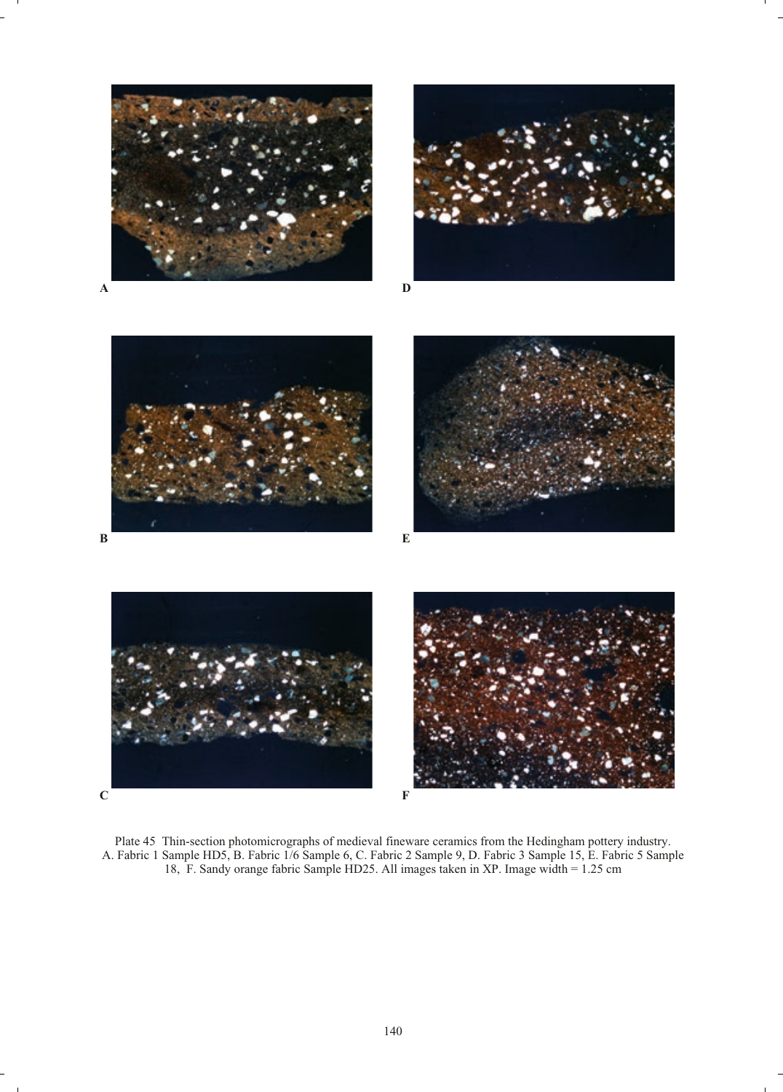











Plate 45 Thin-section photomicrographs of medieval fineware ceramics from the Hedingham pottery industry. A. Fabric 1 Sample HD5, B. Fabric 1/6 Sample 6, C. Fabric 2 Sample 9, D. Fabric 3 Sample 15, E. Fabric 5 Sample 18, F. Sandy orange fabric Sample HD25. All images taken in XP. Image width = 1.25 cm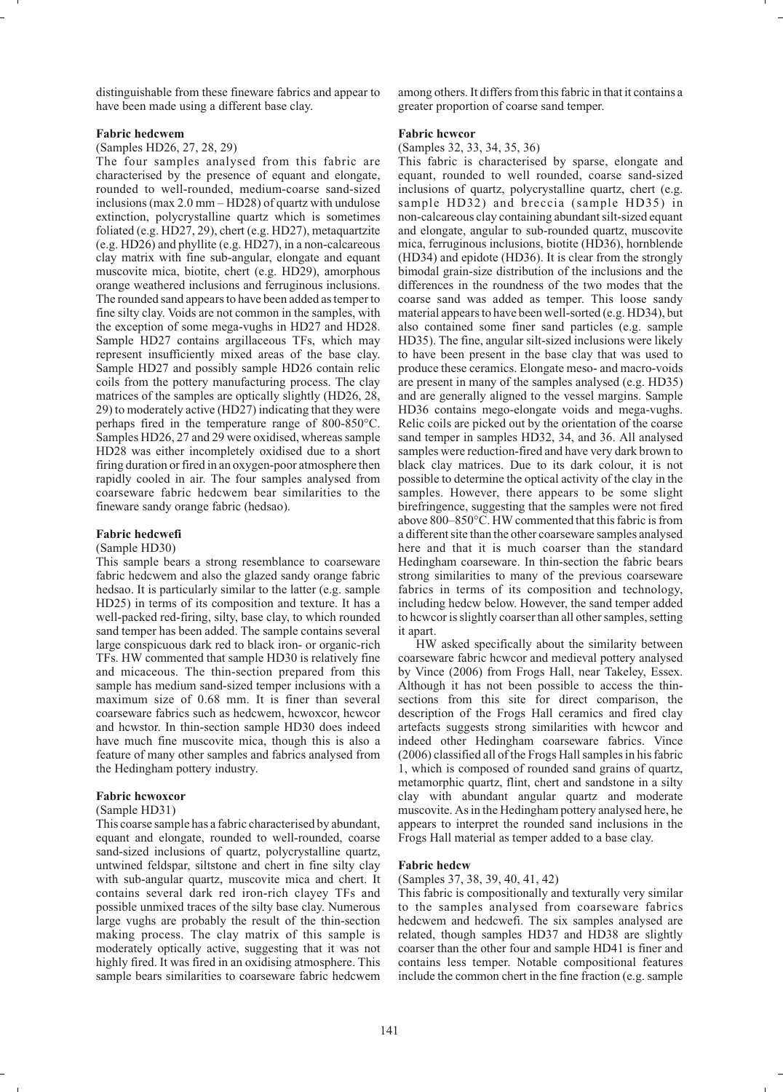distinguishable from these fineware fabrics and appear to have been made using a different base clay.

## **Fabric hedcwem**

(Samples HD26, 27, 28, 29)

The four samples analysed from this fabric are characterised by the presence of equant and elongate, rounded to well-rounded, medium-coarse sand-sized inclusions (max 2.0 mm – HD28) of quartz with undulose extinction, polycrystalline quartz which is sometimes foliated (e.g. HD27, 29), chert (e.g. HD27), metaquartzite (e.g. HD26) and phyllite (e.g. HD27), in a non-calcareous clay matrix with fine sub-angular, elongate and equant muscovite mica, biotite, chert (e.g. HD29), amorphous orange weathered inclusions and ferruginous inclusions. The rounded sand appears to have been added as temper to fine silty clay. Voids are not common in the samples, with the exception of some mega-vughs in HD27 and HD28. Sample HD27 contains argillaceous TFs, which may represent insufficiently mixed areas of the base clay. Sample HD27 and possibly sample HD26 contain relic coils from the pottery manufacturing process. The clay matrices of the samples are optically slightly (HD26, 28, 29) to moderately active (HD27) indicating that they were perhaps fired in the temperature range of 800-850°C. Samples HD26, 27 and 29 were oxidised, whereas sample HD28 was either incompletely oxidised due to a short firing duration or fired in an oxygen-poor atmosphere then rapidly cooled in air. The four samples analysed from coarseware fabric hedcwem bear similarities to the fineware sandy orange fabric (hedsao).

## **Fabric hedcwefi**

#### (Sample HD30)

This sample bears a strong resemblance to coarseware fabric hedcwem and also the glazed sandy orange fabric hedsao. It is particularly similar to the latter (e.g. sample HD25) in terms of its composition and texture. It has a well-packed red-firing, silty, base clay, to which rounded sand temper has been added. The sample contains several large conspicuous dark red to black iron- or organic-rich TFs. HW commented that sample HD30 is relatively fine and micaceous. The thin-section prepared from this sample has medium sand-sized temper inclusions with a maximum size of 0.68 mm. It is finer than several coarseware fabrics such as hedcwem, hcwoxcor, hcwcor and hcwstor. In thin-section sample HD30 does indeed have much fine muscovite mica, though this is also a feature of many other samples and fabrics analysed from the Hedingham pottery industry.

#### **Fabric hcwoxcor**

#### (Sample HD31)

This coarse sample has a fabric characterised by abundant, equant and elongate, rounded to well-rounded, coarse sand-sized inclusions of quartz, polycrystalline quartz, untwined feldspar, siltstone and chert in fine silty clay with sub-angular quartz, muscovite mica and chert. It contains several dark red iron-rich clayey TFs and possible unmixed traces of the silty base clay. Numerous large vughs are probably the result of the thin-section making process. The clay matrix of this sample is moderately optically active, suggesting that it was not highly fired. It was fired in an oxidising atmosphere. This sample bears similarities to coarseware fabric hedcwem

among others. It differs from this fabric in that it contains a greater proportion of coarse sand temper.

#### **Fabric hcwcor**

(Samples 32, 33, 34, 35, 36)

This fabric is characterised by sparse, elongate and equant, rounded to well rounded, coarse sand-sized inclusions of quartz, polycrystalline quartz, chert (e.g. sample HD32) and breccia (sample HD35) in non-calcareous clay containing abundant silt-sized equant and elongate, angular to sub-rounded quartz, muscovite mica, ferruginous inclusions, biotite (HD36), hornblende (HD34) and epidote (HD36). It is clear from the strongly bimodal grain-size distribution of the inclusions and the differences in the roundness of the two modes that the coarse sand was added as temper. This loose sandy material appears to have been well-sorted (e.g. HD34), but also contained some finer sand particles (e.g. sample HD35). The fine, angular silt-sized inclusions were likely to have been present in the base clay that was used to produce these ceramics. Elongate meso- and macro-voids are present in many of the samples analysed (e.g. HD35) and are generally aligned to the vessel margins. Sample HD36 contains mego-elongate voids and mega-vughs. Relic coils are picked out by the orientation of the coarse sand temper in samples HD32, 34, and 36. All analysed samples were reduction-fired and have very dark brown to black clay matrices. Due to its dark colour, it is not possible to determine the optical activity of the clay in the samples. However, there appears to be some slight birefringence, suggesting that the samples were not fired above 800–850°C. HW commented that this fabric is from a different site than the other coarseware samples analysed here and that it is much coarser than the standard Hedingham coarseware. In thin-section the fabric bears strong similarities to many of the previous coarseware fabrics in terms of its composition and technology, including hedcw below. However, the sand temper added to hcwcor is slightly coarser than all other samples, setting it apart

HW asked specifically about the similarity between coarseware fabric hcwcor and medieval pottery analysed by Vince (2006) from Frogs Hall, near Takeley, Essex. Although it has not been possible to access the thinsections from this site for direct comparison, the description of the Frogs Hall ceramics and fired clay artefacts suggests strong similarities with hcwcor and indeed other Hedingham coarseware fabrics. Vince (2006) classified all of the Frogs Hall samples in his fabric 1, which is composed of rounded sand grains of quartz, metamorphic quartz, flint, chert and sandstone in a silty clay with abundant angular quartz and moderate muscovite. As in the Hedingham pottery analysed here, he appears to interpret the rounded sand inclusions in the Frogs Hall material as temper added to a base clay.

#### **Fabric hedcw**

## (Samples 37, 38, 39, 40, 41, 42)

This fabric is compositionally and texturally very similar to the samples analysed from coarseware fabrics hedcwem and hedcwefi. The six samples analysed are related, though samples HD37 and HD38 are slightly coarser than the other four and sample HD41 is finer and contains less temper. Notable compositional features include the common chert in the fine fraction (e.g. sample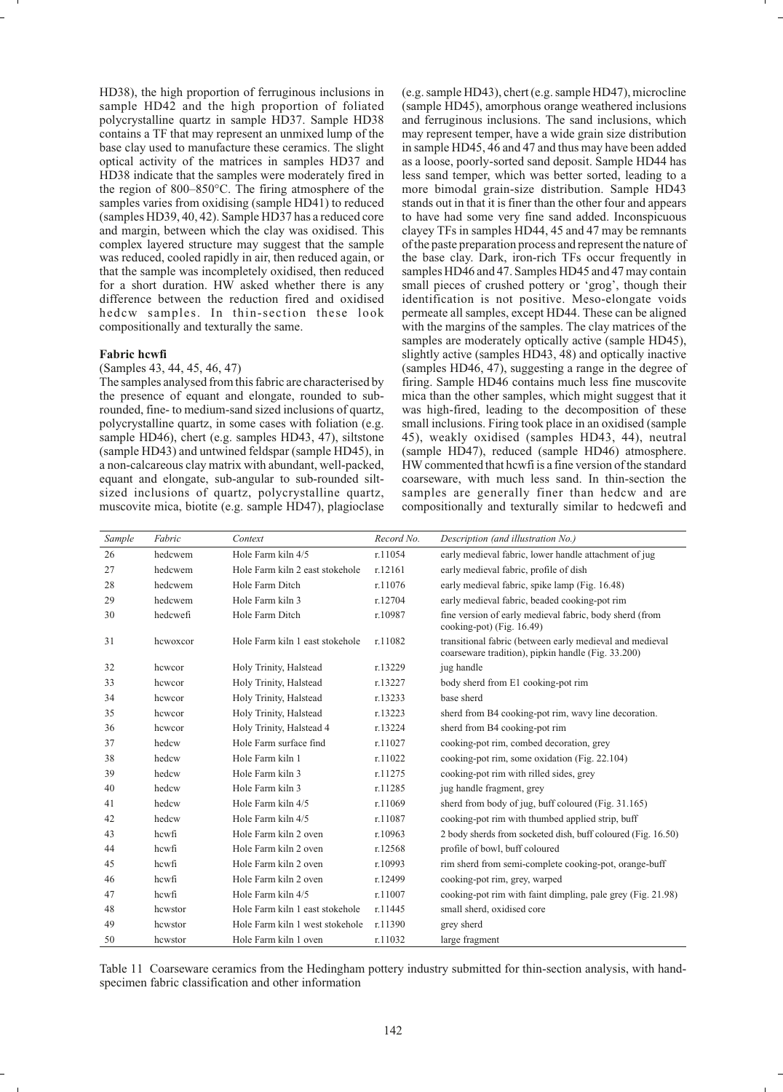HD38), the high proportion of ferruginous inclusions in sample HD42 and the high proportion of foliated polycrystalline quartz in sample HD37. Sample HD38 contains a TF that may represent an unmixed lump of the base clay used to manufacture these ceramics. The slight optical activity of the matrices in samples HD37 and HD38 indicate that the samples were moderately fired in the region of 800–850°C. The firing atmosphere of the samples varies from oxidising (sample HD41) to reduced (samples HD39, 40, 42). Sample HD37 has a reduced core and margin, between which the clay was oxidised. This complex layered structure may suggest that the sample was reduced, cooled rapidly in air, then reduced again, or that the sample was incompletely oxidised, then reduced for a short duration. HW asked whether there is any difference between the reduction fired and oxidised hedcw samples. In thin-section these look compositionally and texturally the same.

## **Fabric hcwfi**

# (Samples 43, 44, 45, 46, 47)

The samples analysed from this fabric are characterised by the presence of equant and elongate, rounded to subrounded, fine- to medium-sand sized inclusions of quartz, polycrystalline quartz, in some cases with foliation (e.g. sample HD46), chert (e.g. samples HD43, 47), siltstone (sample HD43) and untwined feldspar (sample HD45), in a non-calcareous clay matrix with abundant, well-packed, equant and elongate, sub-angular to sub-rounded siltsized inclusions of quartz, polycrystalline quartz, muscovite mica, biotite (e.g. sample HD47), plagioclase

(e.g. sample HD43), chert (e.g. sample HD47), microcline (sample HD45), amorphous orange weathered inclusions and ferruginous inclusions. The sand inclusions, which may represent temper, have a wide grain size distribution in sample HD45, 46 and 47 and thus may have been added as a loose, poorly-sorted sand deposit. Sample HD44 has less sand temper, which was better sorted, leading to a more bimodal grain-size distribution. Sample HD43 stands out in that it is finer than the other four and appears to have had some very fine sand added. Inconspicuous clayey TFs in samples HD44, 45 and 47 may be remnants of the paste preparation process and represent the nature of the base clay. Dark, iron-rich TFs occur frequently in samples HD46 and 47. Samples HD45 and 47 may contain small pieces of crushed pottery or 'grog', though their identification is not positive. Meso-elongate voids permeate all samples, except HD44. These can be aligned with the margins of the samples. The clay matrices of the samples are moderately optically active (sample HD45), slightly active (samples HD43, 48) and optically inactive (samples HD46, 47), suggesting a range in the degree of firing. Sample HD46 contains much less fine muscovite mica than the other samples, which might suggest that it was high-fired, leading to the decomposition of these small inclusions. Firing took place in an oxidised (sample 45), weakly oxidised (samples HD43, 44), neutral (sample HD47), reduced (sample HD46) atmosphere. HW commented that hcwfi is a fine version of the standard coarseware, with much less sand. In thin-section the samples are generally finer than hedcw and are compositionally and texturally similar to hedcwefi and

| Sample | Fabric   | Context                         | Record No. | Description (and illustration No.)                                                                             |
|--------|----------|---------------------------------|------------|----------------------------------------------------------------------------------------------------------------|
| 26     | hedcwem  | Hole Farm kiln 4/5              | r.11054    | early medieval fabric, lower handle attachment of jug                                                          |
| 27     | hedcwem  | Hole Farm kiln 2 east stokehole | r.12161    | early medieval fabric, profile of dish                                                                         |
| 28     | hedcwem  | Hole Farm Ditch                 | r.11076    | early medieval fabric, spike lamp (Fig. 16.48)                                                                 |
| 29     | hedcwem  | Hole Farm kiln 3                | r.12704    | early medieval fabric, beaded cooking-pot rim                                                                  |
| 30     | hedcwefi | Hole Farm Ditch                 | r.10987    | fine version of early medieval fabric, body sherd (from<br>$\cosh($ ing-pot $)$ (Fig. 16.49)                   |
| 31     | hcwoxcor | Hole Farm kiln 1 east stokehole | r.11082    | transitional fabric (between early medieval and medieval<br>coarseware tradition), pipkin handle (Fig. 33.200) |
| 32     | hcwcor   | Holy Trinity, Halstead          | r.13229    | jug handle                                                                                                     |
| 33     | hcwcor   | Holy Trinity, Halstead          | r.13227    | body sherd from E1 cooking-pot rim                                                                             |
| 34     | hewcor   | Holy Trinity, Halstead          | r.13233    | base sherd                                                                                                     |
| 35     | hcwcor   | Holy Trinity, Halstead          | r.13223    | sherd from B4 cooking-pot rim, wavy line decoration.                                                           |
| 36     | hcwcor   | Holy Trinity, Halstead 4        | r.13224    | sherd from B4 cooking-pot rim                                                                                  |
| 37     | hedcw    | Hole Farm surface find          | r.11027    | cooking-pot rim, combed decoration, grey                                                                       |
| 38     | hedcw    | Hole Farm kiln 1                | r.11022    | cooking-pot rim, some oxidation (Fig. 22.104)                                                                  |
| 39     | hedcw    | Hole Farm kiln 3                | r.11275    | cooking-pot rim with rilled sides, grey                                                                        |
| 40     | hedcw    | Hole Farm kiln 3                | r.11285    | jug handle fragment, grey                                                                                      |
| 41     | hedcw    | Hole Farm kiln 4/5              | r.11069    | sherd from body of jug, buff coloured (Fig. 31.165)                                                            |
| 42     | hedcw    | Hole Farm kiln 4/5              | r.11087    | cooking-pot rim with thumbed applied strip, buff                                                               |
| 43     | hcwfi    | Hole Farm kiln 2 oven           | r.10963    | 2 body sherds from socketed dish, buff coloured (Fig. 16.50)                                                   |
| 44     | hcwfi    | Hole Farm kiln 2 oven           | r.12568    | profile of bowl, buff coloured                                                                                 |
| 45     | hcwfi    | Hole Farm kiln 2 oven           | r.10993    | rim sherd from semi-complete cooking-pot, orange-buff                                                          |
| 46     | hcwfi    | Hole Farm kiln 2 oven           | r.12499    | cooking-pot rim, grey, warped                                                                                  |
| 47     | hcwfi    | Hole Farm kiln 4/5              | r.11007    | cooking-pot rim with faint dimpling, pale grey (Fig. 21.98)                                                    |
| 48     | hcwstor  | Hole Farm kiln 1 east stokehole | r.11445    | small sherd, oxidised core                                                                                     |
| 49     | hcwstor  | Hole Farm kiln 1 west stokehole | r.11390    | grey sherd                                                                                                     |
| 50     | hcwstor  | Hole Farm kiln 1 oven           | r.11032    | large fragment                                                                                                 |

Table 11 Coarseware ceramics from the Hedingham pottery industry submitted for thin-section analysis, with handspecimen fabric classification and other information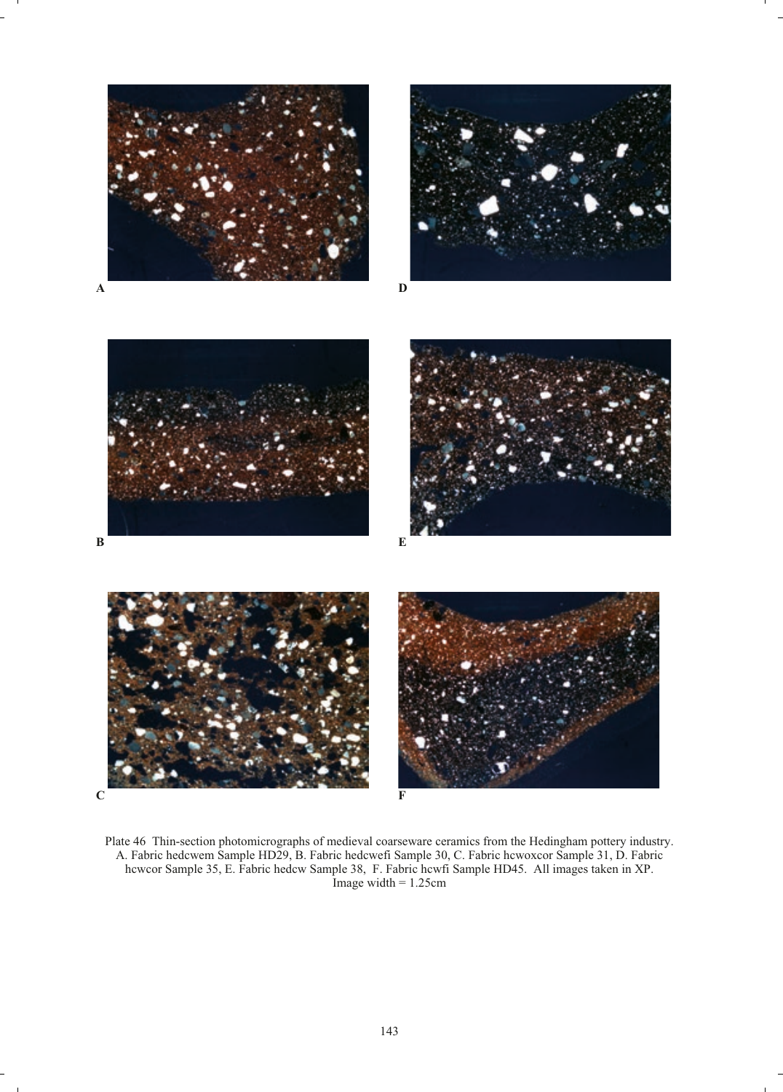









Plate 46 Thin-section photomicrographs of medieval coarseware ceramics from the Hedingham pottery industry. A. Fabric hedcwem Sample HD29, B. Fabric hedcwefi Sample 30, C. Fabric hcwoxcor Sample 31, D. Fabric hcwcor Sample 35, E. Fabric hedcw Sample 38, F. Fabric hcwfi Sample HD45. All images taken in XP. Image width  $= 1.25$ cm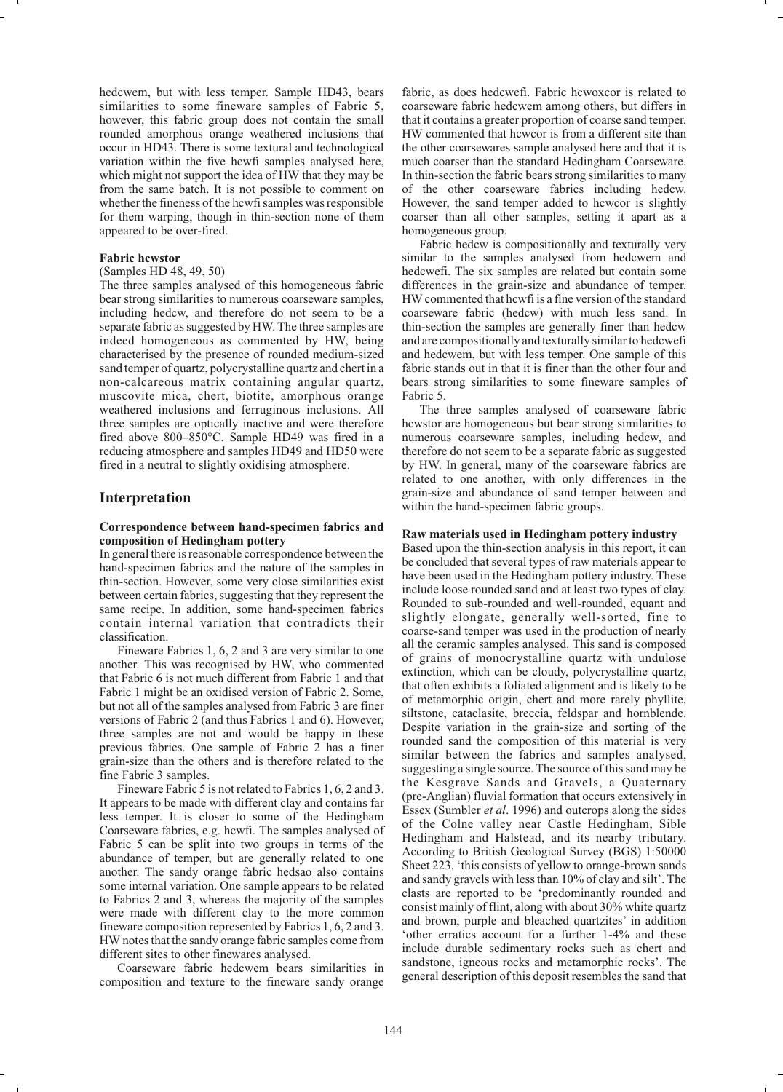hedcwem, but with less temper. Sample HD43, bears similarities to some fineware samples of Fabric 5, however, this fabric group does not contain the small rounded amorphous orange weathered inclusions that occur in HD43. There is some textural and technological variation within the five hcwfi samples analysed here, which might not support the idea of HW that they may be from the same batch. It is not possible to comment on whether the fineness of the hcwfi samples was responsible for them warping, though in thin-section none of them appeared to be over-fired.

## **Fabric hcwstor**

#### (Samples HD 48, 49, 50)

The three samples analysed of this homogeneous fabric bear strong similarities to numerous coarseware samples, including hedcw, and therefore do not seem to be a separate fabric as suggested by HW. The three samples are indeed homogeneous as commented by HW, being characterised by the presence of rounded medium-sized sand temper of quartz, polycrystalline quartz and chert in a non-calcareous matrix containing angular quartz, muscovite mica, chert, biotite, amorphous orange weathered inclusions and ferruginous inclusions. All three samples are optically inactive and were therefore fired above 800–850°C. Sample HD49 was fired in a reducing atmosphere and samples HD49 and HD50 were fired in a neutral to slightly oxidising atmosphere.

# **Interpretation**

# **Correspondence between hand-specimen fabrics and composition of Hedingham pottery**

In general there is reasonable correspondence between the hand-specimen fabrics and the nature of the samples in thin-section. However, some very close similarities exist between certain fabrics, suggesting that they represent the same recipe. In addition, some hand-specimen fabrics contain internal variation that contradicts their classification.

Fineware Fabrics 1, 6, 2 and 3 are very similar to one another. This was recognised by HW, who commented that Fabric 6 is not much different from Fabric 1 and that Fabric 1 might be an oxidised version of Fabric 2. Some, but not all of the samples analysed from Fabric 3 are finer versions of Fabric 2 (and thus Fabrics 1 and 6). However, three samples are not and would be happy in these previous fabrics. One sample of Fabric 2 has a finer grain-size than the others and is therefore related to the fine Fabric 3 samples.

Fineware Fabric 5 is not related to Fabrics 1, 6, 2 and 3. It appears to be made with different clay and contains far less temper. It is closer to some of the Hedingham Coarseware fabrics, e.g. hcwfi. The samples analysed of Fabric 5 can be split into two groups in terms of the abundance of temper, but are generally related to one another. The sandy orange fabric hedsao also contains some internal variation. One sample appears to be related to Fabrics 2 and 3, whereas the majority of the samples were made with different clay to the more common fineware composition represented by Fabrics 1, 6, 2 and 3. HW notes that the sandy orange fabric samples come from different sites to other finewares analysed.

Coarseware fabric hedcwem bears similarities in composition and texture to the fineware sandy orange

fabric, as does hedcwefi. Fabric hcwoxcor is related to coarseware fabric hedcwem among others, but differs in that it contains a greater proportion of coarse sand temper. HW commented that hcwcor is from a different site than the other coarsewares sample analysed here and that it is much coarser than the standard Hedingham Coarseware. In thin-section the fabric bears strong similarities to many of the other coarseware fabrics including hedcw. However, the sand temper added to hcwcor is slightly coarser than all other samples, setting it apart as a homogeneous group.

Fabric hedcw is compositionally and texturally very similar to the samples analysed from hedcwem and hedcwefi. The six samples are related but contain some differences in the grain-size and abundance of temper. HW commented that hcwfi is a fine version of the standard coarseware fabric (hedcw) with much less sand. In thin-section the samples are generally finer than hedcw and are compositionally and texturally similar to hedcwefi and hedcwem, but with less temper. One sample of this fabric stands out in that it is finer than the other four and bears strong similarities to some fineware samples of Fabric 5.

The three samples analysed of coarseware fabric hcwstor are homogeneous but bear strong similarities to numerous coarseware samples, including hedcw, and therefore do not seem to be a separate fabric as suggested by HW. In general, many of the coarseware fabrics are related to one another, with only differences in the grain-size and abundance of sand temper between and within the hand-specimen fabric groups.

# **Raw materials used in Hedingham pottery industry**

Based upon the thin-section analysis in this report, it can be concluded that several types of raw materials appear to have been used in the Hedingham pottery industry. These include loose rounded sand and at least two types of clay. Rounded to sub-rounded and well-rounded, equant and slightly elongate, generally well-sorted, fine to coarse-sand temper was used in the production of nearly all the ceramic samples analysed. This sand is composed of grains of monocrystalline quartz with undulose extinction, which can be cloudy, polycrystalline quartz, that often exhibits a foliated alignment and is likely to be of metamorphic origin, chert and more rarely phyllite, siltstone, cataclasite, breccia, feldspar and hornblende. Despite variation in the grain-size and sorting of the rounded sand the composition of this material is very similar between the fabrics and samples analysed, suggesting a single source. The source of this sand may be the Kesgrave Sands and Gravels, a Quaternary (pre-Anglian) fluvial formation that occurs extensively in Essex (Sumbler *et al*. 1996) and outcrops along the sides of the Colne valley near Castle Hedingham, Sible Hedingham and Halstead, and its nearby tributary. According to British Geological Survey (BGS) 1:50000 Sheet 223, 'this consists of yellow to orange-brown sands and sandy gravels with less than 10% of clay and silt'. The clasts are reported to be 'predominantly rounded and consist mainly of flint, along with about 30% white quartz and brown, purple and bleached quartzites' in addition 'other erratics account for a further 1-4% and these include durable sedimentary rocks such as chert and sandstone, igneous rocks and metamorphic rocks'. The general description of this deposit resembles the sand that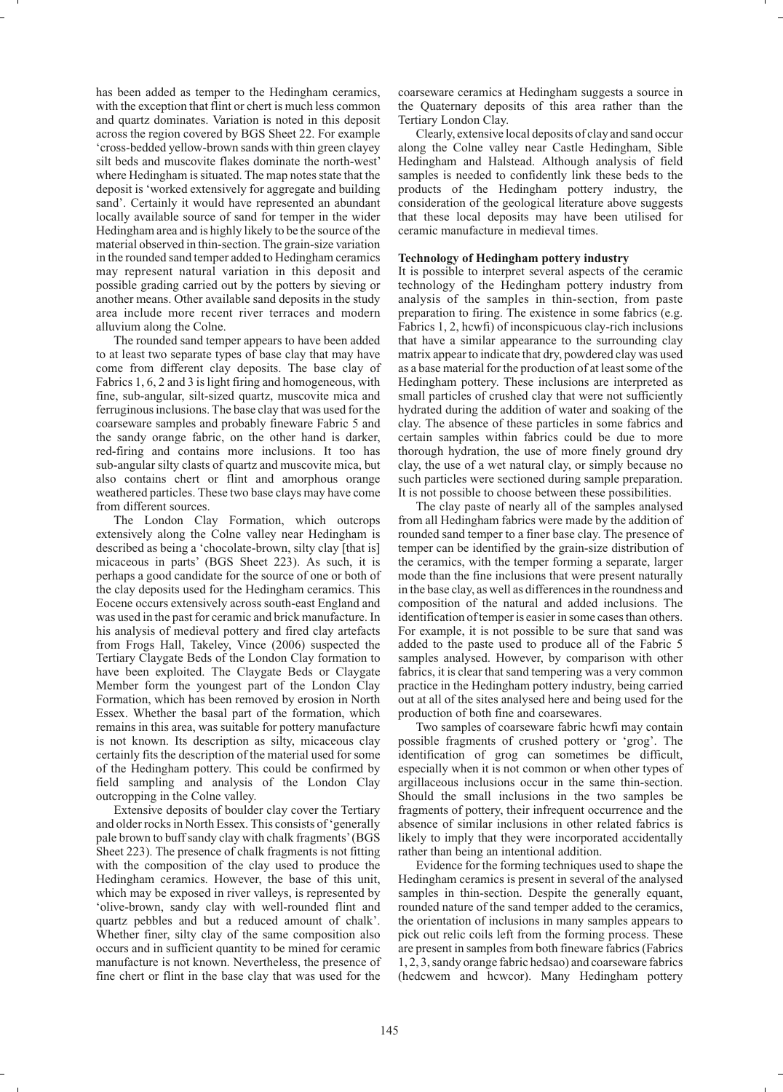has been added as temper to the Hedingham ceramics, with the exception that flint or chert is much less common and quartz dominates. Variation is noted in this deposit across the region covered by BGS Sheet 22. For example 'cross-bedded yellow-brown sands with thin green clayey silt beds and muscovite flakes dominate the north-west' where Hedingham is situated. The map notes state that the deposit is 'worked extensively for aggregate and building sand'. Certainly it would have represented an abundant locally available source of sand for temper in the wider Hedingham area and is highly likely to be the source of the material observed in thin-section. The grain-size variation in the rounded sand temper added to Hedingham ceramics may represent natural variation in this deposit and possible grading carried out by the potters by sieving or another means. Other available sand deposits in the study area include more recent river terraces and modern alluvium along the Colne.

The rounded sand temper appears to have been added to at least two separate types of base clay that may have come from different clay deposits. The base clay of Fabrics 1, 6, 2 and 3 is light firing and homogeneous, with fine, sub-angular, silt-sized quartz, muscovite mica and ferruginous inclusions. The base clay that was used for the coarseware samples and probably fineware Fabric 5 and the sandy orange fabric, on the other hand is darker, red-firing and contains more inclusions. It too has sub-angular silty clasts of quartz and muscovite mica, but also contains chert or flint and amorphous orange weathered particles. These two base clays may have come from different sources.

The London Clay Formation, which outcrops extensively along the Colne valley near Hedingham is described as being a 'chocolate-brown, silty clay [that is] micaceous in parts' (BGS Sheet 223). As such, it is perhaps a good candidate for the source of one or both of the clay deposits used for the Hedingham ceramics. This Eocene occurs extensively across south-east England and was used in the past for ceramic and brick manufacture. In his analysis of medieval pottery and fired clay artefacts from Frogs Hall, Takeley, Vince (2006) suspected the Tertiary Claygate Beds of the London Clay formation to have been exploited. The Claygate Beds or Claygate Member form the youngest part of the London Clay Formation, which has been removed by erosion in North Essex. Whether the basal part of the formation, which remains in this area, was suitable for pottery manufacture is not known. Its description as silty, micaceous clay certainly fits the description of the material used for some of the Hedingham pottery. This could be confirmed by field sampling and analysis of the London Clay outcropping in the Colne valley.

Extensive deposits of boulder clay cover the Tertiary and older rocks in North Essex. This consists of 'generally pale brown to buff sandy clay with chalk fragments'(BGS Sheet 223). The presence of chalk fragments is not fitting with the composition of the clay used to produce the Hedingham ceramics. However, the base of this unit, which may be exposed in river valleys, is represented by 'olive-brown, sandy clay with well-rounded flint and quartz pebbles and but a reduced amount of chalk'. Whether finer, silty clay of the same composition also occurs and in sufficient quantity to be mined for ceramic manufacture is not known. Nevertheless, the presence of fine chert or flint in the base clay that was used for the

coarseware ceramics at Hedingham suggests a source in the Quaternary deposits of this area rather than the Tertiary London Clay.

Clearly, extensive local deposits of clay and sand occur along the Colne valley near Castle Hedingham, Sible Hedingham and Halstead. Although analysis of field samples is needed to confidently link these beds to the products of the Hedingham pottery industry, the consideration of the geological literature above suggests that these local deposits may have been utilised for ceramic manufacture in medieval times.

## **Technology of Hedingham pottery industry**

It is possible to interpret several aspects of the ceramic technology of the Hedingham pottery industry from analysis of the samples in thin-section, from paste preparation to firing. The existence in some fabrics (e.g. Fabrics 1, 2, hcwfi) of inconspicuous clay-rich inclusions that have a similar appearance to the surrounding clay matrix appear to indicate that dry, powdered clay was used as a base material for the production of at least some of the Hedingham pottery. These inclusions are interpreted as small particles of crushed clay that were not sufficiently hydrated during the addition of water and soaking of the clay. The absence of these particles in some fabrics and certain samples within fabrics could be due to more thorough hydration, the use of more finely ground dry clay, the use of a wet natural clay, or simply because no such particles were sectioned during sample preparation. It is not possible to choose between these possibilities.

The clay paste of nearly all of the samples analysed from all Hedingham fabrics were made by the addition of rounded sand temper to a finer base clay. The presence of temper can be identified by the grain-size distribution of the ceramics, with the temper forming a separate, larger mode than the fine inclusions that were present naturally in the base clay, as well as differences in the roundness and composition of the natural and added inclusions. The identification of temper is easier in some cases than others. For example, it is not possible to be sure that sand was added to the paste used to produce all of the Fabric 5 samples analysed. However, by comparison with other fabrics, it is clear that sand tempering was a very common practice in the Hedingham pottery industry, being carried out at all of the sites analysed here and being used for the production of both fine and coarsewares.

Two samples of coarseware fabric hcwfi may contain possible fragments of crushed pottery or 'grog'. The identification of grog can sometimes be difficult, especially when it is not common or when other types of argillaceous inclusions occur in the same thin-section. Should the small inclusions in the two samples be fragments of pottery, their infrequent occurrence and the absence of similar inclusions in other related fabrics is likely to imply that they were incorporated accidentally rather than being an intentional addition.

Evidence for the forming techniques used to shape the Hedingham ceramics is present in several of the analysed samples in thin-section. Despite the generally equant, rounded nature of the sand temper added to the ceramics, the orientation of inclusions in many samples appears to pick out relic coils left from the forming process. These are present in samples from both fineware fabrics (Fabrics 1, 2, 3, sandy orange fabric hedsao) and coarseware fabrics (hedcwem and hcwcor). Many Hedingham pottery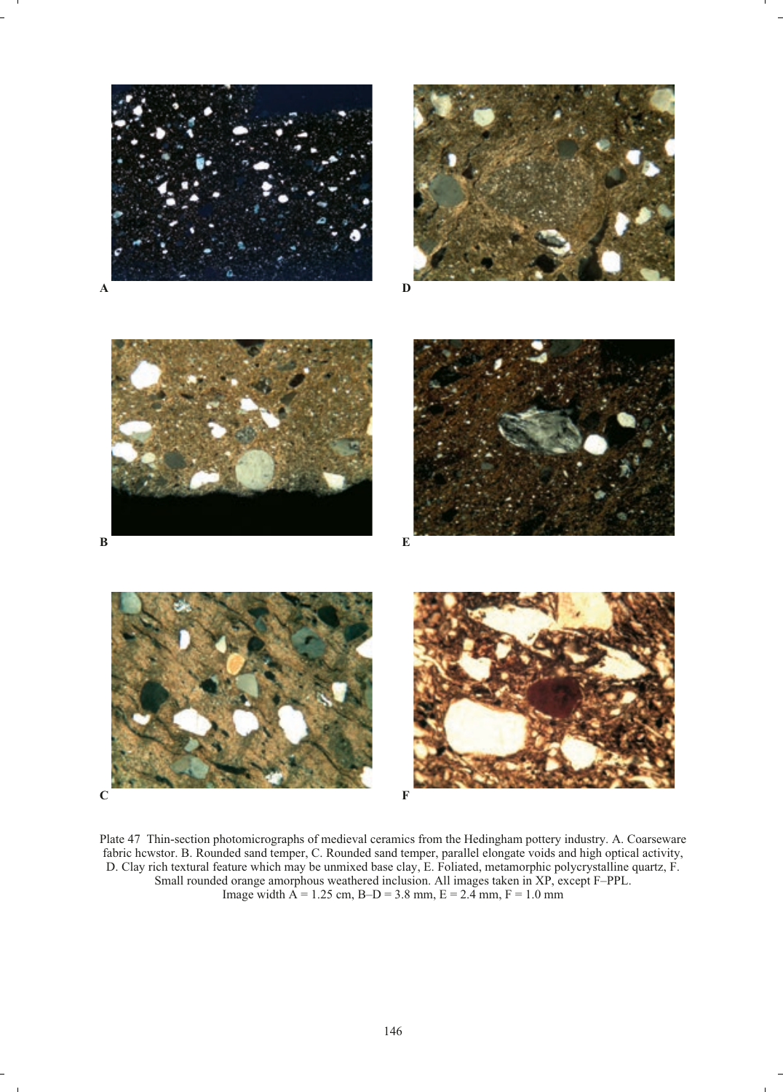











Plate 47 Thin-section photomicrographs of medieval ceramics from the Hedingham pottery industry. A. Coarseware fabric hcwstor. B. Rounded sand temper, C. Rounded sand temper, parallel elongate voids and high optical activity, D. Clay rich textural feature which may be unmixed base clay, E. Foliated, metamorphic polycrystalline quartz, F. Small rounded orange amorphous weathered inclusion. All images taken in XP, except F–PPL. Image width  $A = 1.25$  cm,  $B-D = 3.8$  mm,  $E = 2.4$  mm,  $F = 1.0$  mm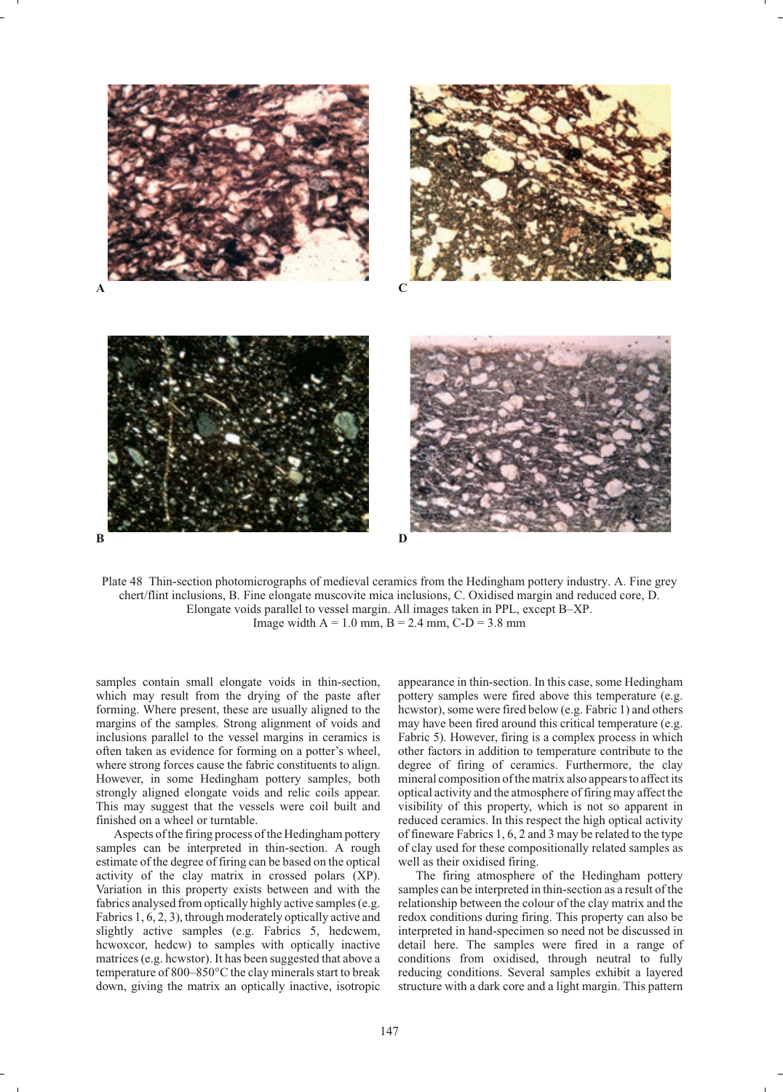

Plate 48 Thin-section photomicrographs of medieval ceramics from the Hedingham pottery industry. A. Fine grey chert/flint inclusions, B. Fine elongate muscovite mica inclusions, C. Oxidised margin and reduced core, D. Elongate voids parallel to vessel margin. All images taken in PPL, except B–XP. Image width  $A = 1.0$  mm,  $B = 2.4$  mm,  $C-D = 3.8$  mm

samples contain small elongate voids in thin-section, which may result from the drying of the paste after forming. Where present, these are usually aligned to the margins of the samples. Strong alignment of voids and inclusions parallel to the vessel margins in ceramics is often taken as evidence for forming on a potter's wheel, where strong forces cause the fabric constituents to align. However, in some Hedingham pottery samples, both strongly aligned elongate voids and relic coils appear. This may suggest that the vessels were coil built and finished on a wheel or turntable.

Aspects of the firing process of the Hedingham pottery samples can be interpreted in thin-section. A rough estimate of the degree of firing can be based on the optical activity of the clay matrix in crossed polars (XP). Variation in this property exists between and with the fabrics analysed from optically highly active samples (e.g. Fabrics 1, 6, 2, 3), through moderately optically active and slightly active samples (e.g. Fabrics 5, hedcwem, hcwoxcor, hedcw) to samples with optically inactive matrices (e.g. hcwstor). It has been suggested that above a temperature of 800–850°C the clay minerals start to break down, giving the matrix an optically inactive, isotropic

appearance in thin-section. In this case, some Hedingham pottery samples were fired above this temperature (e.g. hcwstor), some were fired below (e.g. Fabric 1) and others may have been fired around this critical temperature (e.g. Fabric 5). However, firing is a complex process in which other factors in addition to temperature contribute to the degree of firing of ceramics. Furthermore, the clay mineral composition of the matrix also appears to affect its optical activity and the atmosphere of firing may affect the visibility of this property, which is not so apparent in reduced ceramics. In this respect the high optical activity of fineware Fabrics 1, 6, 2 and 3 may be related to the type of clay used for these compositionally related samples as well as their oxidised firing.

The firing atmosphere of the Hedingham pottery samples can be interpreted in thin-section as a result of the relationship between the colour of the clay matrix and the redox conditions during firing. This property can also be interpreted in hand-specimen so need not be discussed in detail here. The samples were fired in a range of conditions from oxidised, through neutral to fully reducing conditions. Several samples exhibit a layered structure with a dark core and a light margin. This pattern